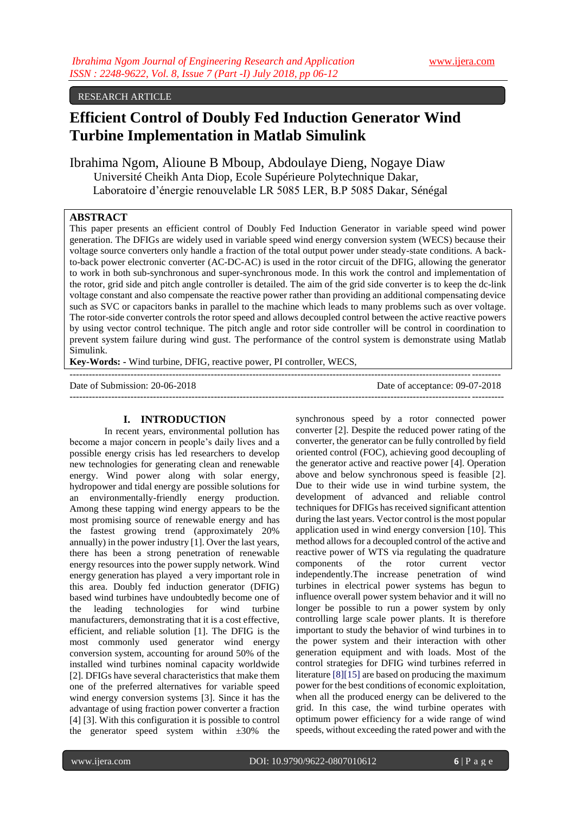## RESEARCH ARTICLE

# **Efficient Control of Doubly Fed Induction Generator Wind Turbine Implementation in Matlab Simulink**

Ibrahima Ngom, Alioune B Mboup, Abdoulaye Dieng, Nogaye Diaw Université Cheikh Anta Diop, Ecole Supérieure Polytechnique Dakar, Laboratoire d'énergie renouvelable LR 5085 LER, B.P 5085 Dakar, Sénégal

## **ABSTRACT**

This paper presents an efficient control of Doubly Fed Induction Generator in variable speed wind power generation. The DFIGs are widely used in variable speed wind energy conversion system (WECS) because their voltage source converters only handle a fraction of the total output power under steady-state conditions. A backto-back power electronic converter (AC-DC-AC) is used in the rotor circuit of the DFIG, allowing the generator to work in both sub-synchronous and super-synchronous mode. In this work the control and implementation of the rotor, grid side and pitch angle controller is detailed. The aim of the grid side converter is to keep the dc-link voltage constant and also compensate the reactive power rather than providing an additional compensating device such as SVC or capacitors banks in parallel to the machine which leads to many problems such as over voltage. The rotor-side converter controls the rotor speed and allows decoupled control between the active reactive powers by using vector control technique. The pitch angle and rotor side controller will be control in coordination to prevent system failure during wind gust. The performance of the control system is demonstrate using Matlab Simulink.

--------------------------------------------------------------------------------------------------------------------------------------

**Key-Words: -** Wind turbine, DFIG, reactive power, PI controller, WECS,

Date of Submission: 20-06-2018 Date of acceptance: 09-07-2018 ---------------------------------------------------------------------------------------------------------------------------------------

## **I. INTRODUCTION**

In recent years, environmental pollution has become a major concern in people's daily lives and a possible energy crisis has led researchers to develop new technologies for generating clean and renewable energy. Wind power along with solar energy, hydropower and tidal energy are possible solutions for an environmentally-friendly energy production. Among these tapping wind energy appears to be the most promising source of renewable energy and has the fastest growing trend (approximately 20% annually) in the power industry [1]. Over the last years, there has been a strong penetration of renewable energy resources into the power supply network. Wind energy generation has played a very important role in this area. Doubly fed induction generator (DFIG) based wind turbines have undoubtedly become one of the leading technologies for wind turbine manufacturers, demonstrating that it is a cost effective, efficient, and reliable solution [1]. The DFIG is the most commonly used generator wind energy conversion system, accounting for around 50% of the installed wind turbines nominal capacity worldwide [2]. DFIGs have several characteristics that make them one of the preferred alternatives for variable speed wind energy conversion systems [3]. Since it has the advantage of using fraction power converter a fraction [4] [3]. With this configuration it is possible to control the generator speed system within  $\pm 30\%$  the

synchronous speed by a rotor connected power converter [2]. Despite the reduced power rating of the converter, the generator can be fully controlled by field oriented control (FOC), achieving good decoupling of the generator active and reactive power [4]. Operation above and below synchronous speed is feasible [2]. Due to their wide use in wind turbine system, the development of advanced and reliable control techniques for DFIGs has received significant attention during the last years. Vector control is the most popular application used in wind energy conversion [10]. This method allows for a decoupled control of the active and reactive power of WTS via regulating the quadrature components of the rotor current vector independently.The increase penetration of wind turbines in electrical power systems has begun to influence overall power system behavior and it will no longer be possible to run a power system by only controlling large scale power plants. It is therefore important to study the behavior of wind turbines in to the power system and their interaction with other generation equipment and with loads. Most of the control strategies for DFIG wind turbines referred in literature [8][15] are based on producing the maximum power for the best conditions of economic exploitation, when all the produced energy can be delivered to the grid. In this case, the wind turbine operates with optimum power efficiency for a wide range of wind speeds, without exceeding the rated power and with the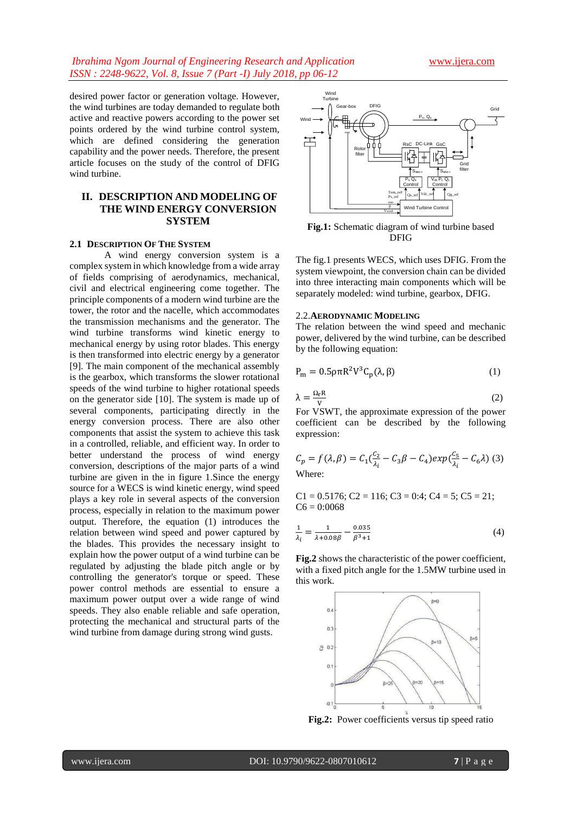desired power factor or generation voltage. However, the wind turbines are today demanded to regulate both active and reactive powers according to the power set points ordered by the wind turbine control system, which are defined considering the generation capability and the power needs. Therefore, the present article focuses on the study of the control of DFIG wind turbine.

# **II. DESCRIPTION AND MODELING OF THE WIND ENERGY CONVERSION SYSTEM**

#### **2.1 DESCRIPTION OF THE SYSTEM**

A wind energy conversion system is a complex system in which knowledge from a wide array of fields comprising of aerodynamics, mechanical, civil and electrical engineering come together. The principle components of a modern wind turbine are the tower, the rotor and the nacelle, which accommodates the transmission mechanisms and the generator. The wind turbine transforms wind kinetic energy to mechanical energy by using rotor blades. This energy is then transformed into electric energy by a generator [9]. The main component of the mechanical assembly is the gearbox, which transforms the slower rotational speeds of the wind turbine to higher rotational speeds on the generator side [10]. The system is made up of several components, participating directly in the energy conversion process. There are also other components that assist the system to achieve this task in a controlled, reliable, and efficient way. In order to better understand the process of wind energy conversion, descriptions of the major parts of a wind turbine are given in the in figure 1.Since the energy source for a WECS is wind kinetic energy, wind speed plays a key role in several aspects of the conversion process, especially in relation to the maximum power output. Therefore, the equation (1) introduces the relation between wind speed and power captured by the blades. This provides the necessary insight to explain how the power output of a wind turbine can be regulated by adjusting the blade pitch angle or by controlling the generator's torque or speed. These power control methods are essential to ensure a maximum power output over a wide range of wind speeds. They also enable reliable and safe operation, protecting the mechanical and structural parts of the wind turbine from damage during strong wind gusts.



**Fig.1:** Schematic diagram of wind turbine based DFIG

The fig.1 presents WECS, which uses DFIG. From the system viewpoint, the conversion chain can be divided into three interacting main components which will be separately modeled: wind turbine, gearbox, DFIG.

#### 2.2.**AERODYNAMIC MODELING**

The relation between the wind speed and mechanic power, delivered by the wind turbine, can be described by the following equation:

$$
P_m = 0.5 \rho \pi R^2 V^3 C_p(\lambda, \beta) \tag{1}
$$

$$
\lambda = \frac{\Omega_{\rm r} R}{V} \tag{2}
$$

For VSWT, the approximate expression of the power coefficient can be described by the following expression:

$$
C_p = f(\lambda, \beta) = C_1(\frac{c_2}{\lambda_i} - C_3\beta - C_4)exp(\frac{c_5}{\lambda_i} - C_6\lambda)
$$
 (3)  
Where:

 $C1 = 0.5176$ ;  $C2 = 116$ ;  $C3 = 0.4$ ;  $C4 = 5$ ;  $C5 = 21$ ;  $C6 = 0:0068$ 

$$
\frac{1}{\lambda_i} = \frac{1}{\lambda + 0.08\beta} - \frac{0.035}{\beta^3 + 1} \tag{4}
$$

**Fig.2** shows the characteristic of the power coefficient, with a fixed pitch angle for the 1.5MW turbine used in this work.



**Fig.2:** Power coefficients versus tip speed ratio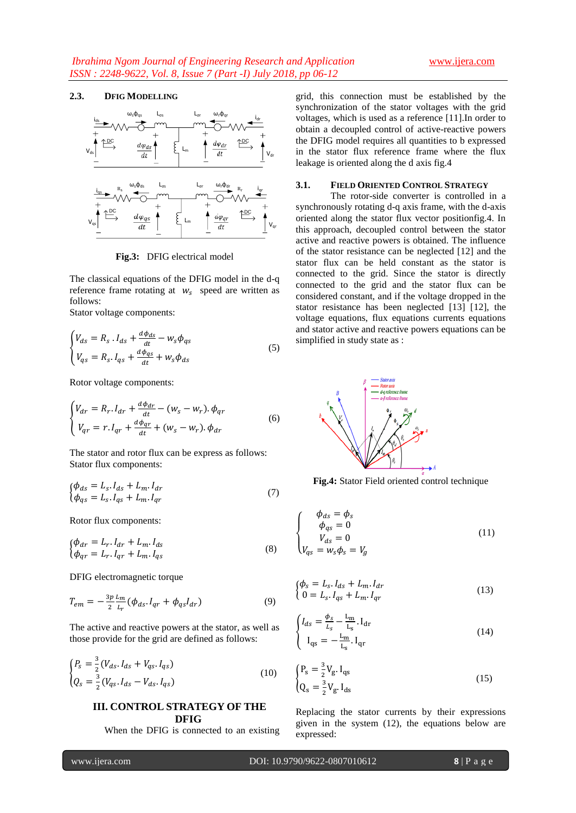## **2.3. DFIG MODELLING**



**Fig.3:** DFIG electrical model

The classical equations of the DFIG model in the d-q reference frame rotating at  $w_s$  speed are written as follows:

Stator voltage components:

$$
\begin{cases}\nV_{ds} = R_s \cdot I_{ds} + \frac{d\phi_{ds}}{dt} - W_s \phi_{qs} \\
V_{qs} = R_s \cdot I_{qs} + \frac{d\phi_{qs}}{dt} + W_s \phi_{ds}\n\end{cases} \tag{5}
$$

Rotor voltage components:

$$
\begin{cases}\nV_{dr} = R_r \cdot I_{dr} + \frac{d\phi_{dr}}{dt} - (w_s - w_r) \cdot \phi_{qr} \\
V_{qr} = r \cdot I_{qr} + \frac{d\phi_{qr}}{dt} + (w_s - w_r) \cdot \phi_{dr}\n\end{cases}
$$
\n(6)

The stator and rotor flux can be express as follows: Stator flux components:

$$
\begin{aligned}\n\{\phi_{ds} &= L_s. \, I_{ds} + L_m. \, I_{dr} \\
\{\phi_{qs} &= L_s. \, I_{qs} + L_m. \, I_{qr}\n\end{aligned}\n\tag{7}
$$

Rotor flux components:

$$
\begin{cases} \phi_{dr} = L_r \cdot I_{dr} + L_m \cdot I_{ds} \\ \phi_{qr} = L_r \cdot I_{qr} + L_m \cdot I_{qs} \end{cases} \tag{8}
$$

DFIG electromagnetic torque

$$
T_{em} = -\frac{3p}{2} \frac{L_m}{L_r} (\phi_{ds} I_{qr} + \phi_{qs} I_{dr})
$$
\n(9)

The active and reactive powers at the stator, as well as those provide for the grid are defined as follows:

$$
\begin{cases}\nP_s = \frac{3}{2} (V_{ds} \cdot I_{ds} + V_{qs} \cdot I_{qs}) \\
Q_s = \frac{3}{2} (V_{qs} \cdot I_{ds} - V_{ds} \cdot I_{qs})\n\end{cases}
$$
\n(10)

## **III. CONTROL STRATEGY OF THE DFIG**

When the DFIG is connected to an existing

grid, this connection must be established by the synchronization of the stator voltages with the grid voltages, which is used as a reference [11].In order to obtain a decoupled control of active-reactive powers the DFIG model requires all quantities to b expressed in the stator flux reference frame where the flux leakage is oriented along the d axis fig.4

## **3.1. FIELD ORIENTED CONTROL STRATEGY**

The rotor-side converter is controlled in a synchronously rotating d-q axis frame, with the d-axis oriented along the stator flux vector positionfig.4. In this approach, decoupled control between the stator active and reactive powers is obtained. The influence of the stator resistance can be neglected [12] and the stator flux can be held constant as the stator is connected to the grid. Since the stator is directly connected to the grid and the stator flux can be considered constant, and if the voltage dropped in the stator resistance has been neglected [13] [12], the voltage equations, flux equations currents equations and stator active and reactive powers equations can be simplified in study state as :



**Fig.4:** Stator Field oriented control technique

$$
\begin{cases}\n\phi_{ds} = \phi_s \\
\phi_{qs} = 0 \\
V_{ds} = 0 \\
V_{qs} = w_s \phi_s = V_g\n\end{cases}
$$
\n(11)

$$
\begin{cases} \phi_s = L_s. I_{ds} + L_m. I_{dr} \\ 0 = L_s. I_{qs} + L_m. I_{qr} \end{cases}
$$
\n(13)

$$
\begin{cases}\nI_{ds} = \frac{\phi_S}{L_S} - \frac{L_m}{L_S} I_{dr} \\
I_{qs} = -\frac{L_m}{L_S} I_{qr}\n\end{cases}
$$
\n(14)

$$
\begin{cases} P_s = \frac{3}{2} V_g I_{qs} \\ Q_s = \frac{3}{2} V_g I_{ds} \end{cases}
$$
 (15)

Replacing the stator currents by their expressions given in the system (12), the equations below are expressed: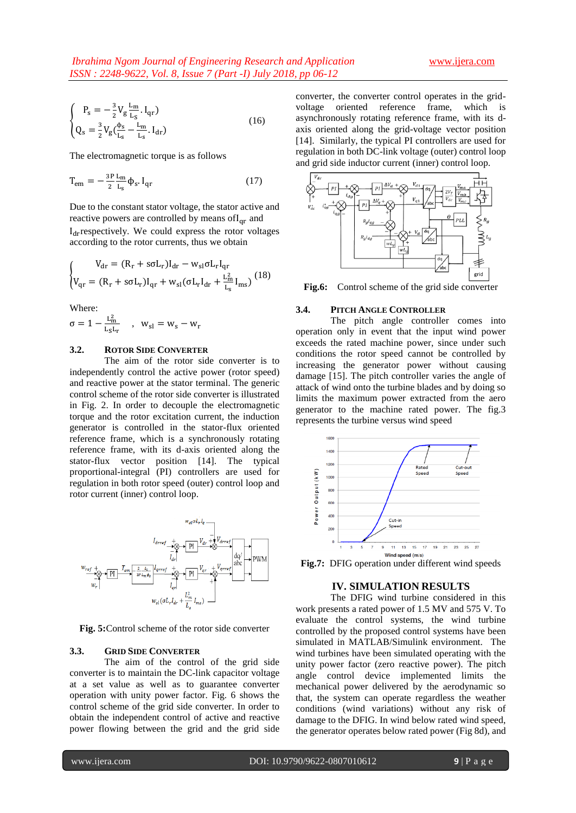$$
\begin{cases}\nP_s = -\frac{3}{2} V_g \frac{L_m}{L_s} I_{qr} \\
Q_s = \frac{3}{2} V_g (\frac{\Phi_s}{L_s} - \frac{L_m}{L_s} I_{dr})\n\end{cases}
$$
\n(16)

The electromagnetic torque is as follows

$$
T_{em} = -\frac{3P}{2} \frac{L_m}{L_s} \phi_s \cdot I_{qr}
$$
 (17)

Due to the constant stator voltage, the stator active and reactive powers are controlled by means of  $I_{\text{or}}$  and  $I<sub>dr</sub>$ respectively. We could express the rotor voltages according to the rotor currents, thus we obtain

$$
\begin{cases} V_{dr} = (R_r + s\sigma L_r)I_{dr} - w_{sl}\sigma L_r I_{qr} \\ V_{qr} = (R_r + s\sigma L_r)I_{qr} + w_{sl}(\sigma L_r I_{dr} + \frac{L_m^2}{L_s} I_{ms}) \end{cases} (18)
$$

Where:

$$
\sigma=1-\tfrac{L_m^2}{L_S L_r}\quad,\ \ w_{sl}=w_s-w_r
$$

## **3.2. ROTOR SIDE CONVERTER**

The aim of the rotor side converter is to independently control the active power (rotor speed) and reactive power at the stator terminal. The generic control scheme of the rotor side converter is illustrated in Fig. 2. In order to decouple the electromagnetic torque and the rotor excitation current, the induction generator is controlled in the stator-flux oriented reference frame, which is a synchronously rotating reference frame, with its d-axis oriented along the stator-flux vector position [14]. The typical proportional-integral (PI) controllers are used for regulation in both rotor speed (outer) control loop and rotor current (inner) control loop.



**Fig. 5:**Control scheme of the rotor side converter

#### **3.3. GRID SIDE CONVERTER**

The aim of the control of the grid side converter is to maintain the DC-link capacitor voltage at a set value as well as to guarantee converter operation with unity power factor. Fig. 6 shows the control scheme of the grid side converter. In order to obtain the independent control of active and reactive power flowing between the grid and the grid side

converter, the converter control operates in the gridvoltage oriented reference frame, which is asynchronously rotating reference frame, with its daxis oriented along the grid-voltage vector position [14]. Similarly, the typical PI controllers are used for regulation in both DC-link voltage (outer) control loop and grid side inductor current (inner) control loop.



**Fig.6:** Control scheme of the grid side converter

#### **3.4. PITCH ANGLE CONTROLLER**

The pitch angle controller comes into operation only in event that the input wind power exceeds the rated machine power, since under such conditions the rotor speed cannot be controlled by increasing the generator power without causing damage [15]. The pitch controller varies the angle of attack of wind onto the turbine blades and by doing so limits the maximum power extracted from the aero generator to the machine rated power. The fig.3 represents the turbine versus wind speed



**Fig.7:** DFIG operation under different wind speeds

## **IV. SIMULATION RESULTS**

The DFIG wind turbine considered in this work presents a rated power of 1.5 MV and 575 V. To evaluate the control systems, the wind turbine controlled by the proposed control systems have been simulated in MATLAB/Simulink environment. The wind turbines have been simulated operating with the unity power factor (zero reactive power). The pitch angle control device implemented limits the mechanical power delivered by the aerodynamic so that, the system can operate regardless the weather conditions (wind variations) without any risk of damage to the DFIG. In wind below rated wind speed, the generator operates below rated power (Fig 8d), and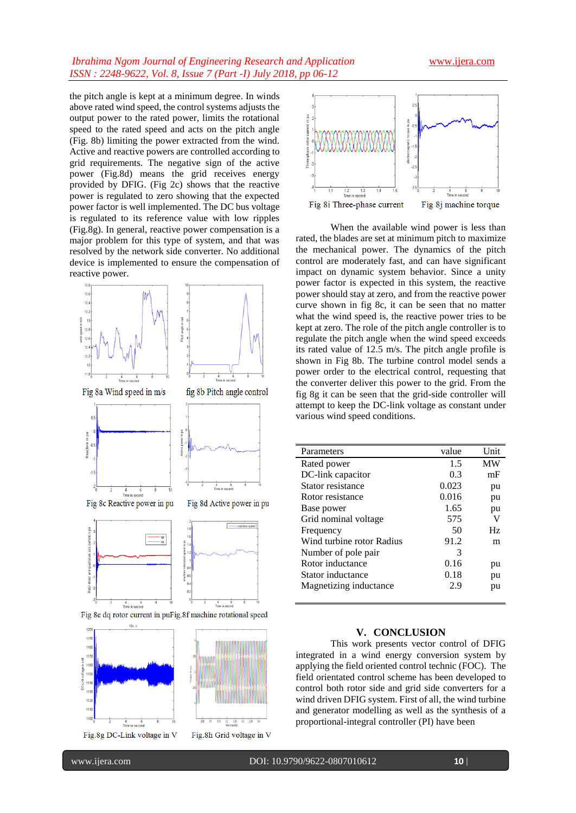## *Ibrahima Ngom Journal of Engineering Research and Application* [www.ijera.com](http://www.ijera.com/) *ISSN : 2248-9622, Vol. 8, Issue 7 (Part -I) July 2018, pp 06-12*

the pitch angle is kept at a minimum degree. In winds above rated wind speed, the control systems adjusts the output power to the rated power, limits the rotational speed to the rated speed and acts on the pitch angle (Fig. 8b) limiting the power extracted from the wind. Active and reactive powers are controlled according to grid requirements. The negative sign of the active power (Fig.8d) means the grid receives energy provided by DFIG. (Fig 2c) shows that the reactive power is regulated to zero showing that the expected power factor is well implemented. The DC bus voltage is regulated to its reference value with low ripples (Fig.8g). In general, reactive power compensation is a major problem for this type of system, and that was resolved by the network side converter. No additional device is implemented to ensure the compensation of reactive power.



Fig.8g DC-Link voltage in V



When the available wind power is less than rated, the blades are set at minimum pitch to maximize the mechanical power. The dynamics of the pitch control are moderately fast, and can have significant impact on dynamic system behavior. Since a unity power factor is expected in this system, the reactive power should stay at zero, and from the reactive power curve shown in fig 8c, it can be seen that no matter what the wind speed is, the reactive power tries to be kept at zero. The role of the pitch angle controller is to regulate the pitch angle when the wind speed exceeds its rated value of 12.5 m/s. The pitch angle profile is shown in Fig 8b. The turbine control model sends a power order to the electrical control, requesting that the converter deliver this power to the grid. From the fig 8g it can be seen that the grid-side controller will attempt to keep the DC-link voltage as constant under various wind speed conditions.

| Parameters                | value | Unit |
|---------------------------|-------|------|
| Rated power               | 1.5   | MW   |
| DC-link capacitor         | 0.3   | mF   |
| Stator resistance         | 0.023 | pu   |
| Rotor resistance          | 0.016 | pu   |
| Base power                | 1.65  | pu   |
| Grid nominal voltage      | 575   | V    |
| Frequency                 | 50    | Hz   |
| Wind turbine rotor Radius | 91.2  | m    |
| Number of pole pair       | 3     |      |
| Rotor inductance          | 0.16  | pu   |
| Stator inductance         | 0.18  | pu   |
| Magnetizing inductance    | 2.9   | pu   |
|                           |       |      |

#### **V. CONCLUSION**

This work presents vector control of DFIG integrated in a wind energy conversion system by applying the field oriented control technic (FOC). The field orientated control scheme has been developed to control both rotor side and grid side converters for a wind driven DFIG system. First of all, the wind turbine and generator modelling as well as the synthesis of a proportional-integral controller (PI) have been

 $-$ 

Fig.8h Grid voltage in V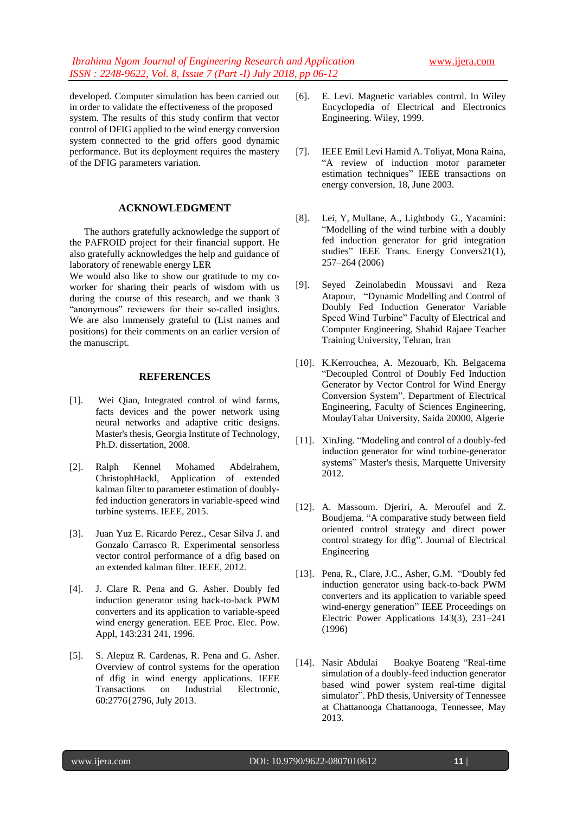developed. Computer simulation has been carried out in order to validate the effectiveness of the proposed system. The results of this study confirm that vector control of DFIG applied to the wind energy conversion system connected to the grid offers good dynamic performance. But its deployment requires the mastery of the DFIG parameters variation.

#### **ACKNOWLEDGMENT**

 The authors gratefully acknowledge the support of the PAFROID project for their financial support. He also gratefully acknowledges the help and guidance of laboratory of renewable energy LER

We would also like to show our gratitude to my coworker for sharing their pearls of wisdom with us during the course of this research, and we thank 3 "anonymous" reviewers for their so-called insights. We are also immensely grateful to (List names and positions) for their comments on an earlier version of the manuscript.

#### **REFERENCES**

- [1]. Wei Qiao, Integrated control of wind farms, facts devices and the power network using neural networks and adaptive critic designs. Master's thesis, Georgia Institute of Technology, Ph.D. dissertation, 2008.
- [2]. Ralph Kennel Mohamed Abdelrahem, ChristophHackl, Application of extended kalman filter to parameter estimation of doublyfed induction generators in variable-speed wind turbine systems. IEEE, 2015.
- [3]. Juan Yuz E. Ricardo Perez., Cesar Silva J. and Gonzalo Carrasco R. Experimental sensorless vector control performance of a dfig based on an extended kalman filter. IEEE, 2012.
- [4]. J. Clare R. Pena and G. Asher. Doubly fed induction generator using back-to-back PWM converters and its application to variable-speed wind energy generation. EEE Proc. Elec. Pow. Appl, 143:231 241, 1996.
- [5]. S. Alepuz R. Cardenas, R. Pena and G. Asher. Overview of control systems for the operation of dfig in wind energy applications. IEEE Transactions on Industrial Electronic, 60:2776{2796, July 2013.
- [6]. E. Levi. Magnetic variables control. In Wiley Encyclopedia of Electrical and Electronics Engineering. Wiley, 1999.
- [7]. IEEE Emil Levi Hamid A. Toliyat, Mona Raina, "A review of induction motor parameter estimation techniques" IEEE transactions on energy conversion, 18, June 2003.
- [8]. Lei, Y, Mullane, A., Lightbody G., Yacamini: "Modelling of the wind turbine with a doubly fed induction generator for grid integration studies" IEEE Trans. Energy Convers21(1), 257–264 (2006)
- [9]. Seyed Zeinolabedin Moussavi and Reza Atapour, "Dynamic Modelling and Control of Doubly Fed Induction Generator Variable Speed Wind Turbine" Faculty of Electrical and Computer Engineering, Shahid Rajaee Teacher Training University, Tehran, Iran
- [10]. K.Kerrouchea, A. Mezouarb, Kh. Belgacema "Decoupled Control of Doubly Fed Induction Generator by Vector Control for Wind Energy Conversion System". Department of Electrical Engineering, Faculty of Sciences Engineering, MoulayTahar University, Saida 20000, Algerie
- [11]. XinJing. "Modeling and control of a doubly-fed induction generator for wind turbine-generator systems" Master's thesis, Marquette University 2012.
- [12]. A. Massoum. Djeriri, A. Meroufel and Z. Boudjema. "A comparative study between field oriented control strategy and direct power control strategy for dfig". Journal of Electrical Engineering
- [13]. Pena, R., Clare, J.C., Asher, G.M. "Doubly fed induction generator using back-to-back PWM converters and its application to variable speed wind-energy generation" IEEE Proceedings on Electric Power Applications 143(3), 231–241 (1996)
- [14]. Nasir Abdulai Boakye Boateng "Real-time simulation of a doubly-feed induction generator based wind power system real-time digital simulator". PhD thesis, University of Tennessee at Chattanooga Chattanooga, Tennessee, May 2013.

 $-$